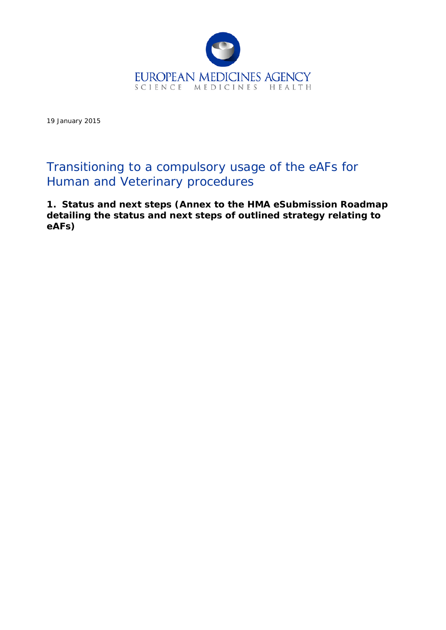

19 January 2015

# Transitioning to a compulsory usage of the eAFs for Human and Veterinary procedures

**1. Status and next steps (Annex to the HMA eSubmission Roadmap detailing the status and next steps of outlined strategy relating to eAFs)**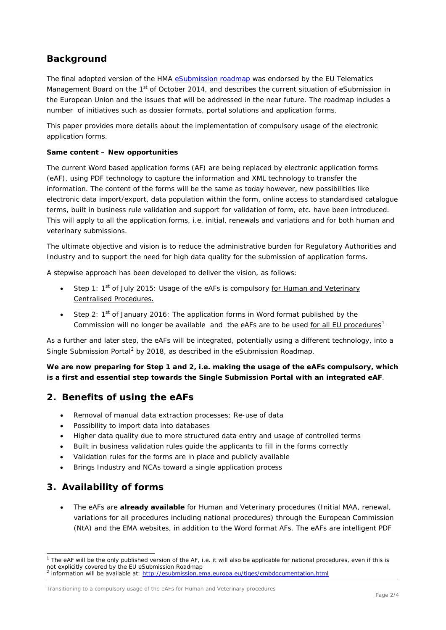## **Background**

The final adopted version of the HMA [eSubmission roadmap](http://esubmission.ema.europa.eu/tiges/docs/eSubmission%20Roadmap%20v%201%200_Nov%202014_final_adopted.doc) was endorsed by the EU Telematics Management Board on the 1<sup>st</sup> of October 2014, and describes the current situation of eSubmission in the European Union and the issues that will be addressed in the near future. The roadmap includes a number of initiatives such as dossier formats, portal solutions and application forms.

This paper provides more details about the implementation of compulsory usage of the electronic application forms.

#### **Same content – New opportunities**

The current Word based application forms (AF) are being replaced by electronic application forms (eAF), using PDF technology to capture the information and XML technology to transfer the information. The content of the forms will be the same as today however, new possibilities like electronic data import/export, data population within the form, online access to standardised catalogue terms, built in business rule validation and support for validation of form, etc. have been introduced. This will apply to all the application forms, i.e. initial, renewals and variations and for both human and veterinary submissions.

The ultimate objective and vision is to reduce the administrative burden for Regulatory Authorities and Industry and to support the need for high data quality for the submission of application forms.

A stepwise approach has been developed to deliver the vision, as follows:

- Step 1:  $1<sup>st</sup>$  of July 2015: Usage of the eAFs is compulsory for Human and Veterinary Centralised Procedures.
- Step 2: 1<sup>st</sup> of January 2016: The application forms in Word format published by the Commission will no longer be available and the eAFs are to be used for all EU procedures<sup>[1](#page-1-0)</sup>

As a further and later step, the eAFs will be integrated, potentially using a different technology, into a Single Submission Portal<sup>[2](#page-1-1)</sup> by 2018, as described in the eSubmission Roadmap.

**We are now preparing for Step 1 and 2, i.e. making the usage of the eAFs compulsory, which is a first and essential step towards the Single Submission Portal with an integrated eAF**.

## **2. Benefits of using the eAFs**

- Removal of manual data extraction processes; Re-use of data
- Possibility to import data into databases
- Higher data quality due to more structured data entry and usage of controlled terms
- Built in business validation rules guide the applicants to fill in the forms correctly
- Validation rules for the forms are in place and publicly available
- Brings Industry and NCAs toward a single application process

## **3. Availability of forms**

ł

• The eAFs are **already available** for Human and Veterinary procedures (Initial MAA, renewal, variations for all procedures including national procedures) through the European Commission (NtA) and the EMA websites, in addition to the Word format AFs. The eAFs are intelligent PDF

Transitioning to a compulsory usage of the eAFs for Human and Veterinary procedures

<span id="page-1-0"></span><sup>1</sup> The eAF will be the only published version of the AF, i.e. it will also be applicable for national procedures, even if this is not explicitly covered by the EU eSubmission Roadmap

<span id="page-1-1"></span><sup>&</sup>lt;sup>2</sup> information will be available at:<http://esubmission.ema.europa.eu/tiges/cmbdocumentation.html>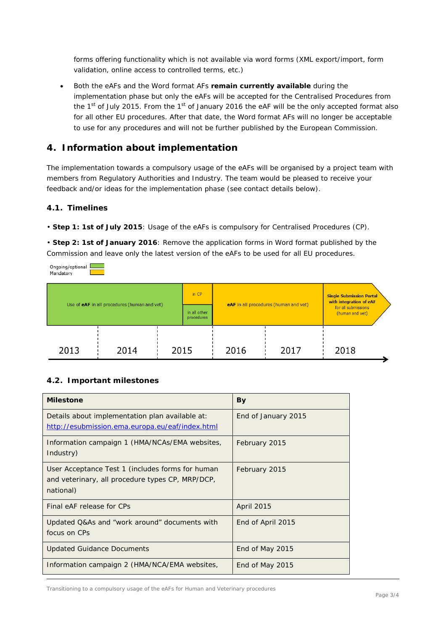forms offering functionality which is not available via word forms (XML export/import, form validation, online access to controlled terms, etc.)

• Both the eAFs and the Word format AFs **remain currently available** during the implementation phase but only the eAFs will be accepted for the Centralised Procedures from the 1<sup>st</sup> of July 2015. From the 1<sup>st</sup> of January 2016 the eAF will be the only accepted format also for all other EU procedures. After that date, the Word format AFs will no longer be acceptable to use for any procedures and will not be further published by the European Commission.

## **4. Information about implementation**

The implementation towards a compulsory usage of the eAFs will be organised by a project team with members from Regulatory Authorities and Industry. The team would be pleased to receive your feedback and/or ideas for the implementation phase (see contact details below).

#### *4.1. Timelines*

Ongoing/optional

• **Step 1: 1st of July 2015**: Usage of the eAFs is compulsory for Centralised Procedures (CP).

• **Step 2: 1st of January 2016**: Remove the application forms in Word format published by the Commission and leave only the latest version of the eAFs to be used for all EU procedures.

Mandatory in  $CP$ **Single Submission Portal** with integration of eAF Use of eAF in all procedures (human and vet) eAF in all procedures (human and vet) for all submissions in all other<br>procedures (human and vet) 2013 2014 2015 2016 2017 2018

#### *4.2. Important milestones*

| <b>Milestone</b>                                                                                                  | By                  |
|-------------------------------------------------------------------------------------------------------------------|---------------------|
| Details about implementation plan available at:<br>http://esubmission.ema.europa.eu/eaf/index.html                | End of January 2015 |
| Information campaign 1 (HMA/NCAs/EMA websites,<br>Industry)                                                       | February 2015       |
| User Acceptance Test 1 (includes forms for human<br>and veterinary, all procedure types CP, MRP/DCP,<br>national) | February 2015       |
| Final eAF release for CPs                                                                                         | April 2015          |
| Updated Q&As and "work around" documents with<br>focus on CPs                                                     | End of April 2015   |
| <b>Updated Guidance Documents</b>                                                                                 | End of May 2015     |
| Information campaign 2 (HMA/NCA/EMA websites,                                                                     | End of May 2015     |

Transitioning to a compulsory usage of the eAFs for Human and Veterinary procedures